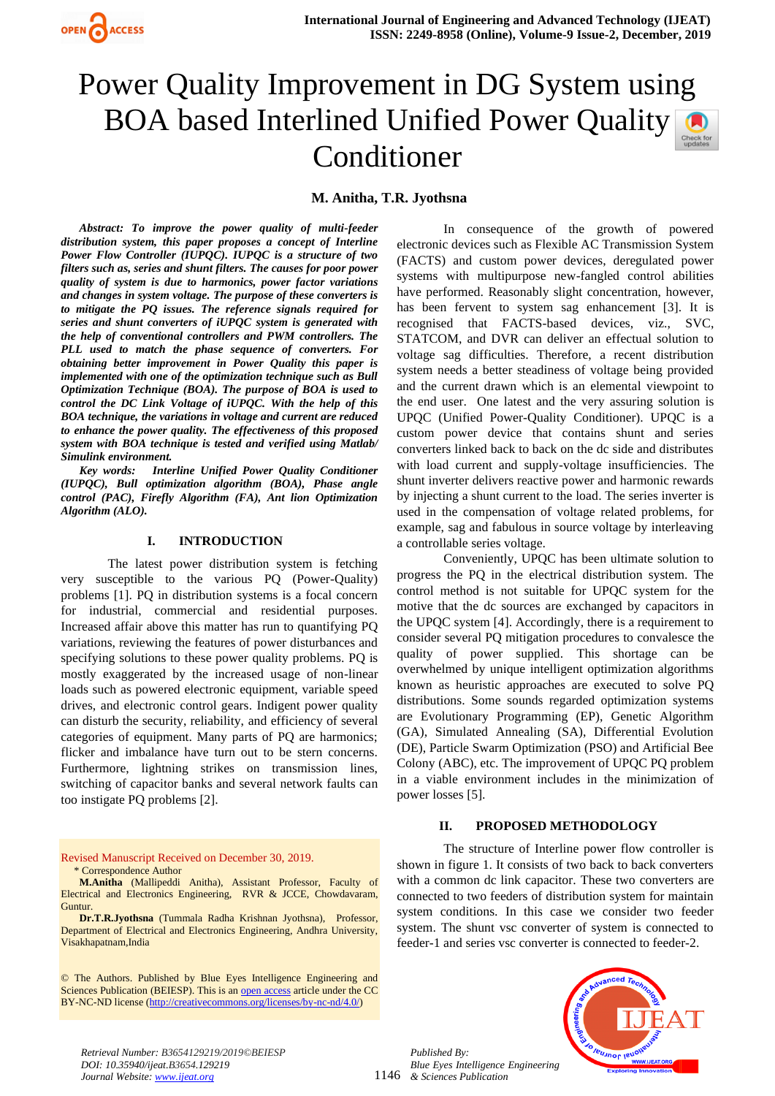



**M. Anitha, T.R. Jyothsna**

*Abstract: To improve the power quality of multi-feeder distribution system, this paper proposes a concept of Interline Power Flow Controller (IUPQC). IUPQC is a structure of two filters such as, series and shunt filters. The causes for poor power quality of system is due to harmonics, power factor variations and changes in system voltage. The purpose of these converters is to mitigate the PQ issues. The reference signals required for series and shunt converters of iUPQC system is generated with the help of conventional controllers and PWM controllers. The PLL used to match the phase sequence of converters. For obtaining better improvement in Power Quality this paper is implemented with one of the optimization technique such as Bull Optimization Technique (BOA). The purpose of BOA is used to control the DC Link Voltage of iUPQC. With the help of this BOA technique, the variations in voltage and current are reduced to enhance the power quality. The effectiveness of this proposed system with BOA technique is tested and verified using Matlab/ Simulink environment.*

*Key words: Interline Unified Power Quality Conditioner (IUPQC), Bull optimization algorithm (BOA), Phase angle control (PAC), Firefly Algorithm (FA), Ant lion Optimization Algorithm (ALO).*

## **I. INTRODUCTION**

The latest power distribution system is fetching very susceptible to the various PQ (Power-Quality) problems [1]. PQ in distribution systems is a focal concern for industrial, commercial and residential purposes. Increased affair above this matter has run to quantifying PQ variations, reviewing the features of power disturbances and specifying solutions to these power quality problems. PQ is mostly exaggerated by the increased usage of non-linear loads such as powered electronic equipment, variable speed drives, and electronic control gears. Indigent power quality can disturb the security, reliability, and efficiency of several categories of equipment. Many parts of PQ are harmonics; flicker and imbalance have turn out to be stern concerns. Furthermore, lightning strikes on transmission lines, switching of capacitor banks and several network faults can too instigate PQ problems [2].

Revised Manuscript Received on December 30, 2019. \* Correspondence Author

**M.Anitha** (Mallipeddi Anitha), Assistant Professor, Faculty of Electrical and Electronics Engineering, RVR & JCCE, Chowdavaram, Guntur.

**Dr.T.R.Jyothsna** (Tummala Radha Krishnan Jyothsna), Professor, Department of Electrical and Electronics Engineering, Andhra University, Visakhapatnam,India

© The Authors. Published by Blue Eyes Intelligence Engineering and Sciences Publication (BEIESP). This is a[n open access](https://www.openaccess.nl/en/open-publications) article under the CC BY-NC-ND license [\(http://creativecommons.org/licenses/by-nc-nd/4.0/\)](http://creativecommons.org/licenses/by-nc-nd/4.0/)

In consequence of the growth of powered electronic devices such as Flexible AC Transmission System (FACTS) and custom power devices, deregulated power systems with multipurpose new-fangled control abilities have performed. Reasonably slight concentration, however, has been fervent to system sag enhancement [3]. It is recognised that FACTS-based devices, viz., SVC, STATCOM, and DVR can deliver an effectual solution to voltage sag difficulties. Therefore, a recent distribution system needs a better steadiness of voltage being provided and the current drawn which is an elemental viewpoint to the end user. One latest and the very assuring solution is UPQC (Unified Power-Quality Conditioner). UPQC is a custom power device that contains shunt and series converters linked back to back on the dc side and distributes with load current and supply-voltage insufficiencies. The shunt inverter delivers reactive power and harmonic rewards by injecting a shunt current to the load. The series inverter is used in the compensation of voltage related problems, for example, sag and fabulous in source voltage by interleaving a controllable series voltage.

Conveniently, UPQC has been ultimate solution to progress the PQ in the electrical distribution system. The control method is not suitable for UPQC system for the motive that the dc sources are exchanged by capacitors in the UPQC system [4]. Accordingly, there is a requirement to consider several PQ mitigation procedures to convalesce the quality of power supplied. This shortage can be overwhelmed by unique intelligent optimization algorithms known as heuristic approaches are executed to solve PQ distributions. Some sounds regarded optimization systems are Evolutionary Programming (EP), Genetic Algorithm (GA), Simulated Annealing (SA), Differential Evolution (DE), Particle Swarm Optimization (PSO) and Artificial Bee Colony (ABC), etc. The improvement of UPQC PQ problem in a viable environment includes in the minimization of power losses [5].

## **II. PROPOSED METHODOLOGY**

The structure of Interline power flow controller is shown in figure 1. It consists of two back to back converters with a common dc link capacitor. These two converters are connected to two feeders of distribution system for maintain system conditions. In this case we consider two feeder system. The shunt vsc converter of system is connected to feeder-1 and series vsc converter is connected to feeder-2.



*Retrieval Number: B3654129219/2019©BEIESP DOI: 10.35940/ijeat.B3654.129219 Journal Website[: www.ijeat.org](http://www.ijeat.org/)*

*Published By:*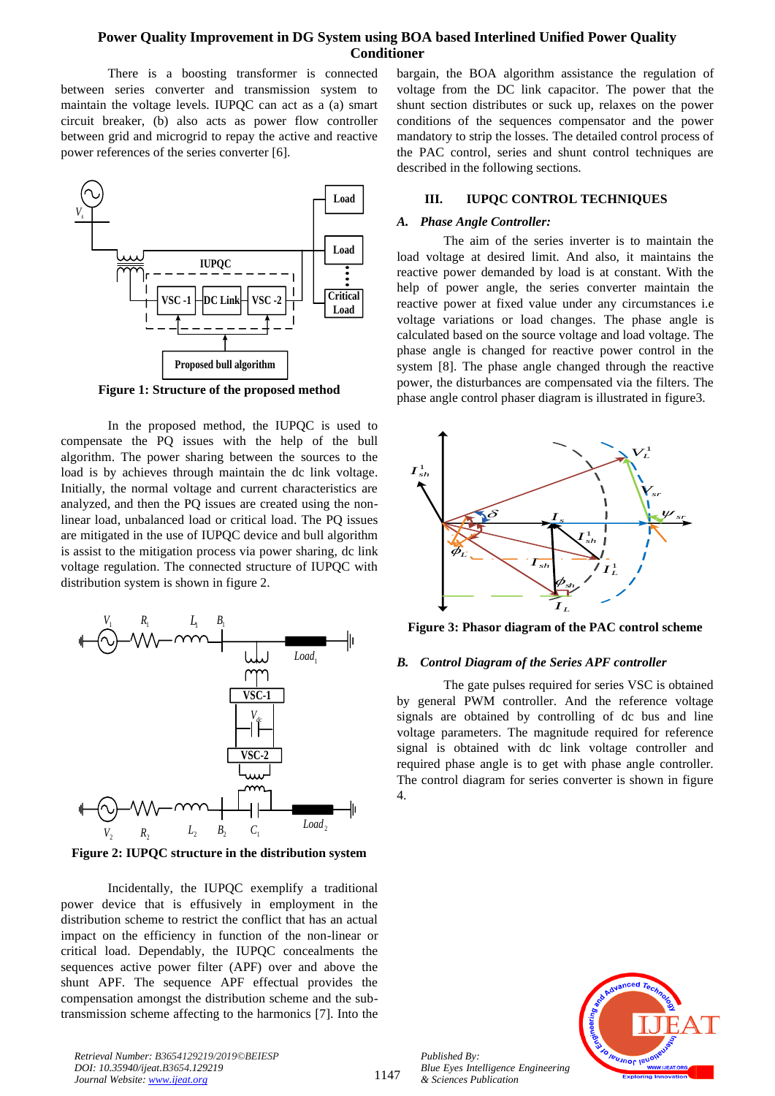There is a boosting transformer is connected between series converter and transmission system to maintain the voltage levels. IUPQC can act as a (a) smart circuit breaker, (b) also acts as power flow controller between grid and microgrid to repay the active and reactive power references of the series converter [6].



**Figure 1: Structure of the proposed method**

In the proposed method, the IUPQC is used to compensate the PQ issues with the help of the bull algorithm. The power sharing between the sources to the load is by achieves through maintain the dc link voltage. Initially, the normal voltage and current characteristics are analyzed, and then the PQ issues are created using the nonlinear load, unbalanced load or critical load. The PQ issues are mitigated in the use of IUPQC device and bull algorithm is assist to the mitigation process via power sharing, dc link voltage regulation. The connected structure of IUPQC with distribution system is shown in figure 2.



**Figure 2: IUPQC structure in the distribution system**

Incidentally, the IUPQC exemplify a traditional power device that is effusively in employment in the distribution scheme to restrict the conflict that has an actual impact on the efficiency in function of the non-linear or critical load. Dependably, the IUPQC concealments the sequences active power filter (APF) over and above the shunt APF. The sequence APF effectual provides the compensation amongst the distribution scheme and the subtransmission scheme affecting to the harmonics [7]. Into the

bargain, the BOA algorithm assistance the regulation of voltage from the DC link capacitor. The power that the shunt section distributes or suck up, relaxes on the power conditions of the sequences compensator and the power mandatory to strip the losses. The detailed control process of the PAC control, series and shunt control techniques are described in the following sections.

## **III. IUPQC CONTROL TECHNIQUES**

## *A. Phase Angle Controller:*

The aim of the series inverter is to maintain the load voltage at desired limit. And also, it maintains the reactive power demanded by load is at constant. With the help of power angle, the series converter maintain the reactive power at fixed value under any circumstances i.e voltage variations or load changes. The phase angle is calculated based on the source voltage and load voltage. The phase angle is changed for reactive power control in the system [8]. The phase angle changed through the reactive power, the disturbances are compensated via the filters. The phase angle control phaser diagram is illustrated in figure3.



**Figure 3: Phasor diagram of the PAC control scheme**

# <sup>1</sup> *Load B. Control Diagram of the Series APF controller*

The gate pulses required for series VSC is obtained by general PWM controller. And the reference voltage signals are obtained by controlling of dc bus and line voltage parameters. The magnitude required for reference signal is obtained with dc link voltage controller and required phase angle is to get with phase angle controller. The control diagram for series converter is shown in figure 4.



*Retrieval Number: B3654129219/2019©BEIESP DOI: 10.35940/ijeat.B3654.129219 Journal Website[: www.ijeat.org](http://www.ijeat.org/)*

*Published By:*

*& Sciences Publication* 

*Blue Eyes Intelligence Engineering*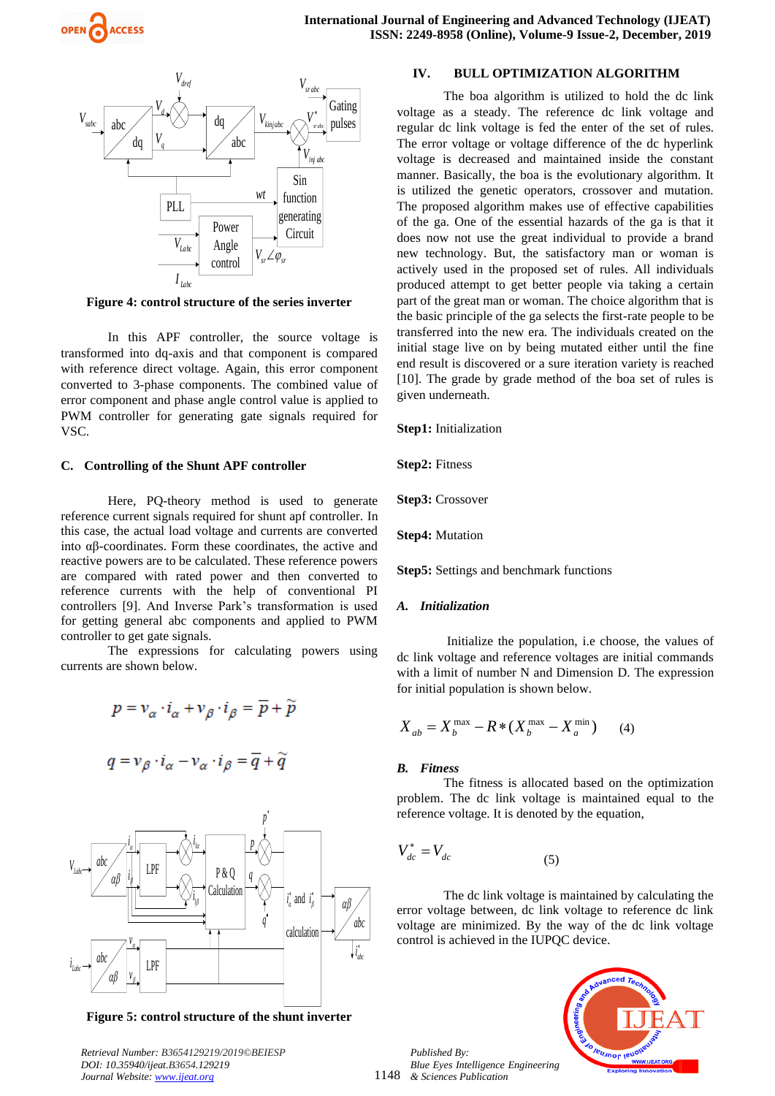

**Figure 4: control structure of the series inverter**

In this APF controller, the source voltage is transformed into dq-axis and that component is compared with reference direct voltage. Again, this error component converted to 3-phase components. The combined value of error component and phase angle control value is applied to PWM controller for generating gate signals required for VSC.

## **C. Controlling of the Shunt APF controller**

Here, PQ-theory method is used to generate reference current signals required for shunt apf controller. In this case, the actual load voltage and currents are converted into αβ-coordinates. Form these coordinates, the active and reactive powers are to be calculated. These reference powers are compared with rated power and then converted to reference currents with the help of conventional PI controllers [9]. And Inverse Park's transformation is used for getting general abc components and applied to PWM controller to get gate signals.

The expressions for calculating powers using currents are shown below.

$$
p = v_{\alpha} \cdot i_{\alpha} + v_{\beta} \cdot i_{\beta} = \overline{p} + \widetilde{p}
$$

$$
q = v_{\beta} \cdot i_{\alpha} - v_{\alpha} \cdot i_{\beta} = q + \tilde{q}
$$



**Figure 5: control structure of the shunt inverter**

*Retrieval Number: B3654129219/2019©BEIESP DOI: 10.35940/ijeat.B3654.129219 Journal Website[: www.ijeat.org](http://www.ijeat.org/)*

## **IV. BULL OPTIMIZATION ALGORITHM**

 $V^*$   $\begin{bmatrix} \text{sum} \\ \text{values} \end{bmatrix}$  voltage as a steady. The reference dc link voltage and The boa algorithm is utilized to hold the dc link regular dc link voltage is fed the enter of the set of rules. The error voltage or voltage difference of the dc hyperlink voltage is decreased and maintained inside the constant manner. Basically, the boa is the evolutionary algorithm. It is utilized the genetic operators, crossover and mutation. The proposed algorithm makes use of effective capabilities of the ga. One of the essential hazards of the ga is that it does now not use the great individual to provide a brand new technology. But, the satisfactory man or woman is actively used in the proposed set of rules. All individuals produced attempt to get better people via taking a certain part of the great man or woman. The choice algorithm that is the basic principle of the ga selects the first-rate people to be transferred into the new era. The individuals created on the initial stage live on by being mutated either until the fine end result is discovered or a sure iteration variety is reached [10]. The grade by grade method of the boa set of rules is given underneath.

**Step1:** Initialization

**Step2:** Fitness

**Step3:** Crossover

**Step4:** Mutation

**Step5:** Settings and benchmark functions

## *A. Initialization*

Initialize the population, i.e choose, the values of dc link voltage and reference voltages are initial commands with a limit of number N and Dimension D. The expression for initial population is shown below.

$$
X_{ab} = X_b^{\max} - R * (X_b^{\max} - X_a^{\min})
$$
 (4)

## *B. Fitness*

*p*<sup>*i*</sup> reference voltage. It is denoted by the equation, The fitness is allocated based on the optimization problem. The dc link voltage is maintained equal to the

$$
V_{dc}^* = V_{dc} \tag{5}
$$

 $\begin{bmatrix} a^{\dagger} \\ a^{\dagger} \\ a^{\dagger} \end{bmatrix}$  and  $\begin{bmatrix} a^{\dagger} \\ a^{\dagger} \\ a^{\dagger} \end{bmatrix}$  and  $\begin{bmatrix} a^{\dagger} \\ a^{\dagger} \\ a^{\dagger} \end{bmatrix}$  error voltage between, dc link voltage to reference dc link<br>voltage are minimized. By the way of the dc link The dc link voltage is maintained by calculating the voltage are minimized. By the way of the dc link voltage control is achieved in the IUPQC device.



1148 *& Sciences Publication Published By: Blue Eyes Intelligence Engineering*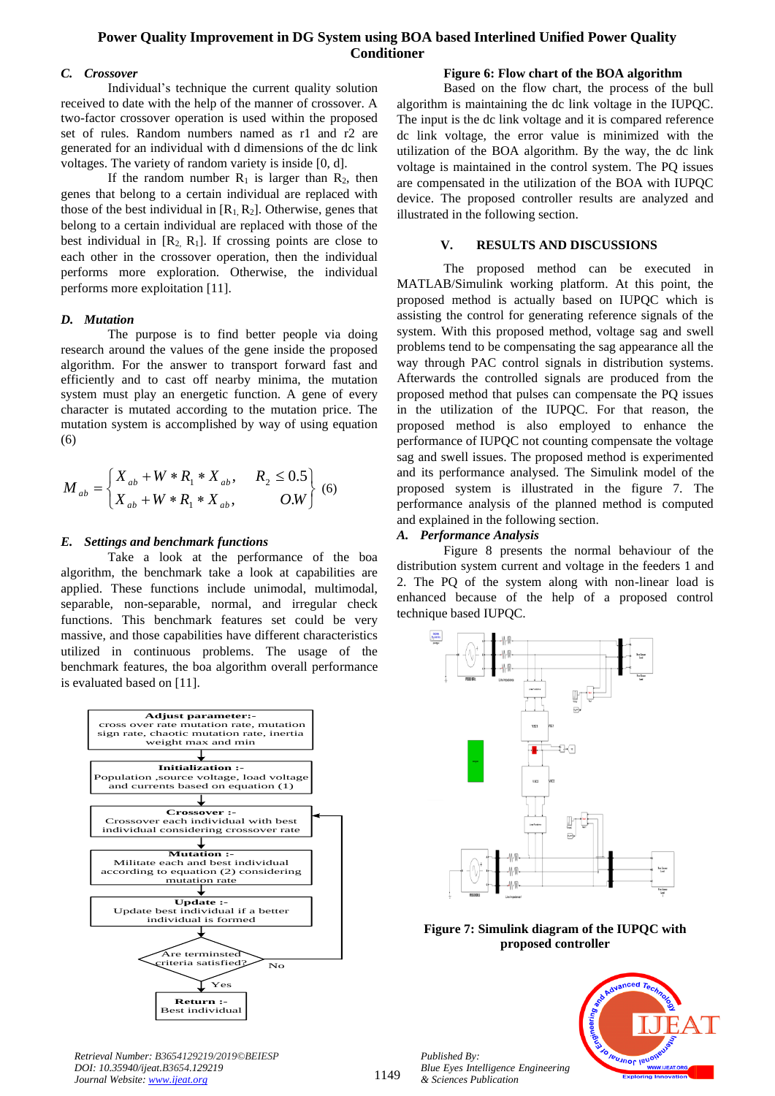## *C. Crossover*

Individual's technique the current quality solution received to date with the help of the manner of crossover. A two-factor crossover operation is used within the proposed set of rules. Random numbers named as r1 and r2 are generated for an individual with d dimensions of the dc link voltages. The variety of random variety is inside [0, d].

If the random number  $R_1$  is larger than  $R_2$ , then genes that belong to a certain individual are replaced with those of the best individual in  $[R_1, R_2]$ . Otherwise, genes that belong to a certain individual are replaced with those of the best individual in  $[R_2, R_1]$ . If crossing points are close to each other in the crossover operation, then the individual performs more exploration. Otherwise, the individual performs more exploitation [11].

## *D. Mutation*

The purpose is to find better people via doing research around the values of the gene inside the proposed algorithm. For the answer to transport forward fast and efficiently and to cast off nearby minima, the mutation system must play an energetic function. A gene of every character is mutated according to the mutation price. The mutation system is accomplished by way of using equation (6)

$$
M_{ab} = \begin{cases} X_{ab} + W * R_1 * X_{ab}, & R_2 \le 0.5 \\ X_{ab} + W * R_1 * X_{ab}, & O.W \end{cases}
$$
 (6)

## *E. Settings and benchmark functions*

Take a look at the performance of the boa algorithm, the benchmark take a look at capabilities are applied. These functions include unimodal, multimodal, separable, non-separable, normal, and irregular check functions. This benchmark features set could be very massive, and those capabilities have different characteristics utilized in continuous problems. The usage of the benchmark features, the boa algorithm overall performance is evaluated based on [11].



#### *Retrieval Number: B3654129219/2019©BEIESP DOI: 10.35940/ijeat.B3654.129219 Journal Website[: www.ijeat.org](http://www.ijeat.org/)*

## **Figure 6: Flow chart of the BOA algorithm**

Based on the flow chart, the process of the bull algorithm is maintaining the dc link voltage in the IUPQC. The input is the dc link voltage and it is compared reference dc link voltage, the error value is minimized with the utilization of the BOA algorithm. By the way, the dc link voltage is maintained in the control system. The PQ issues are compensated in the utilization of the BOA with IUPQC device. The proposed controller results are analyzed and illustrated in the following section.

## **V. RESULTS AND DISCUSSIONS**

The proposed method can be executed in MATLAB/Simulink working platform. At this point, the proposed method is actually based on IUPQC which is assisting the control for generating reference signals of the system. With this proposed method, voltage sag and swell problems tend to be compensating the sag appearance all the way through PAC control signals in distribution systems. Afterwards the controlled signals are produced from the proposed method that pulses can compensate the PQ issues in the utilization of the IUPQC. For that reason, the proposed method is also employed to enhance the performance of IUPQC not counting compensate the voltage sag and swell issues. The proposed method is experimented and its performance analysed. The Simulink model of the proposed system is illustrated in the figure 7. The performance analysis of the planned method is computed and explained in the following section.

## *A. Performance Analysis*

Figure 8 presents the normal behaviour of the distribution system current and voltage in the feeders 1 and 2. The PQ of the system along with non-linear load is enhanced because of the help of a proposed control technique based IUPQC.



**Figure 7: Simulink diagram of the IUPQC with proposed controller**



*Published By: Blue Eyes Intelligence Engineering & Sciences Publication* 

1149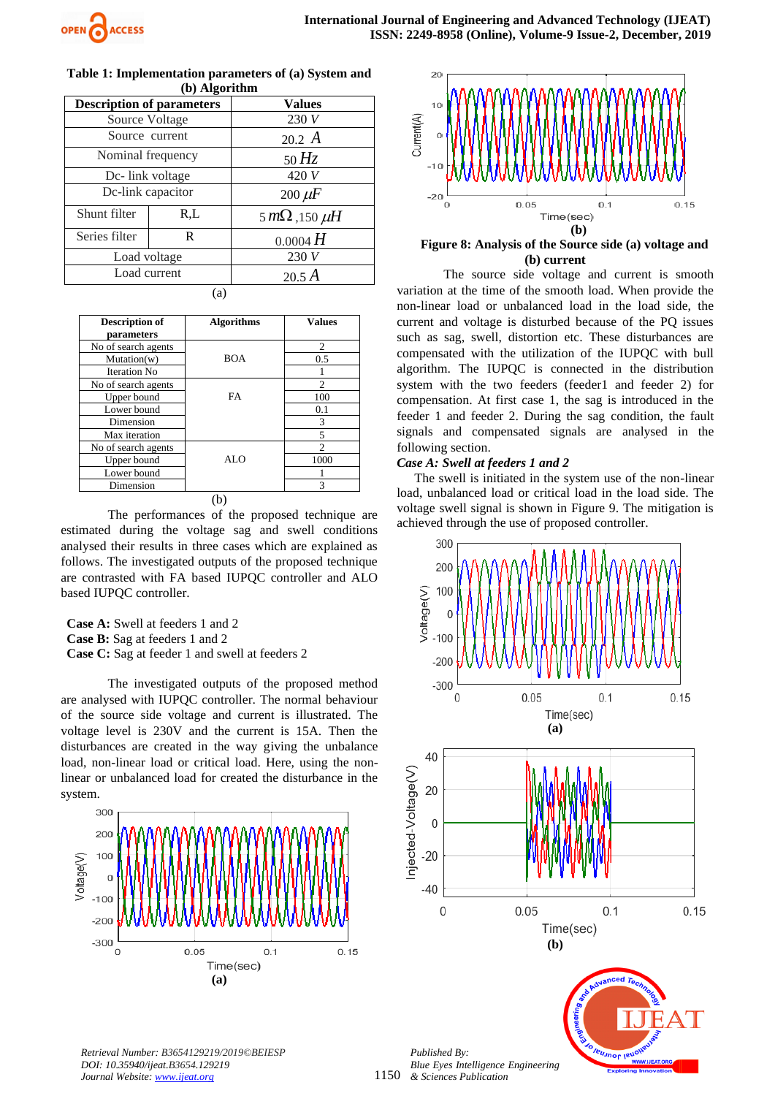

| (v) Aiguriumi                    |     |                          |  |  |
|----------------------------------|-----|--------------------------|--|--|
| <b>Description of parameters</b> |     | Values                   |  |  |
| Source Voltage                   |     | 230V                     |  |  |
| Source current                   |     | 20.2 A                   |  |  |
| Nominal frequency                |     | $50\,Hz$                 |  |  |
| Dc- link voltage                 |     | 420 V                    |  |  |
| Dc-link capacitor                |     | $200 \mu F$              |  |  |
| Shunt filter                     | R,L | $5m\Omega$ , 150 $\mu$ H |  |  |
| Series filter                    | R   | 0.0004 H                 |  |  |
| Load voltage                     |     | 230V                     |  |  |
| Load current                     |     | $20.5\,\mathrm{\AA}$     |  |  |
|                                  |     |                          |  |  |

| Table 1: Implementation parameters of (a) System and |               |  |
|------------------------------------------------------|---------------|--|
|                                                      | (b) Algorithm |  |

|  | ۰. |  |
|--|----|--|

| <b>Description of</b><br>parameters | <b>Algorithms</b> | <b>Values</b> |
|-------------------------------------|-------------------|---------------|
| No of search agents                 |                   | 2             |
| Mutation(w)                         | <b>BOA</b>        | 0.5           |
| <b>Iteration No</b>                 |                   |               |
| No of search agents                 |                   | 2             |
| Upper bound                         | <b>FA</b>         | 100           |
| Lower bound                         |                   | 0.1           |
| Dimension                           |                   | 3             |
| Max iteration                       |                   | 5             |
| No of search agents                 |                   | 2             |
| Upper bound                         | AI <sub>O</sub>   | 1000          |
| Lower bound                         |                   |               |
| Dimension                           |                   | 3             |

(b)

The performances of the proposed technique are estimated during the voltage sag and swell conditions analysed their results in three cases which are explained as follows. The investigated outputs of the proposed technique are contrasted with FA based IUPQC controller and ALO based IUPQC controller.

**Case A:** Swell at feeders 1 and 2 **Case B:** Sag at feeders 1 and 2 **Case C:** Sag at feeder 1 and swell at feeders 2

The investigated outputs of the proposed method are analysed with IUPQC controller. The normal behaviour of the source side voltage and current is illustrated. The voltage level is 230V and the current is 15A. Then the disturbances are created in the way giving the unbalance load, non-linear load or critical load. Here, using the nonlinear or unbalanced load for created the disturbance in the system.





**Figure 8: Analysis of the Source side (a) voltage and (b) current**

The source side voltage and current is smooth variation at the time of the smooth load. When provide the non-linear load or unbalanced load in the load side, the current and voltage is disturbed because of the PQ issues such as sag, swell, distortion etc. These disturbances are compensated with the utilization of the IUPQC with bull algorithm. The IUPQC is connected in the distribution system with the two feeders (feeder1 and feeder 2) for compensation. At first case 1, the sag is introduced in the feeder 1 and feeder 2. During the sag condition, the fault signals and compensated signals are analysed in the following section.

## *Case A: Swell at feeders 1 and 2*

The swell is initiated in the system use of the non-linear load, unbalanced load or critical load in the load side. The voltage swell signal is shown in Figure 9. The mitigation is achieved through the use of proposed controller.



*Retrieval Number: B3654129219/2019©BEIESP DOI: 10.35940/ijeat.B3654.129219 Journal Website[: www.ijeat.org](http://www.ijeat.org/)*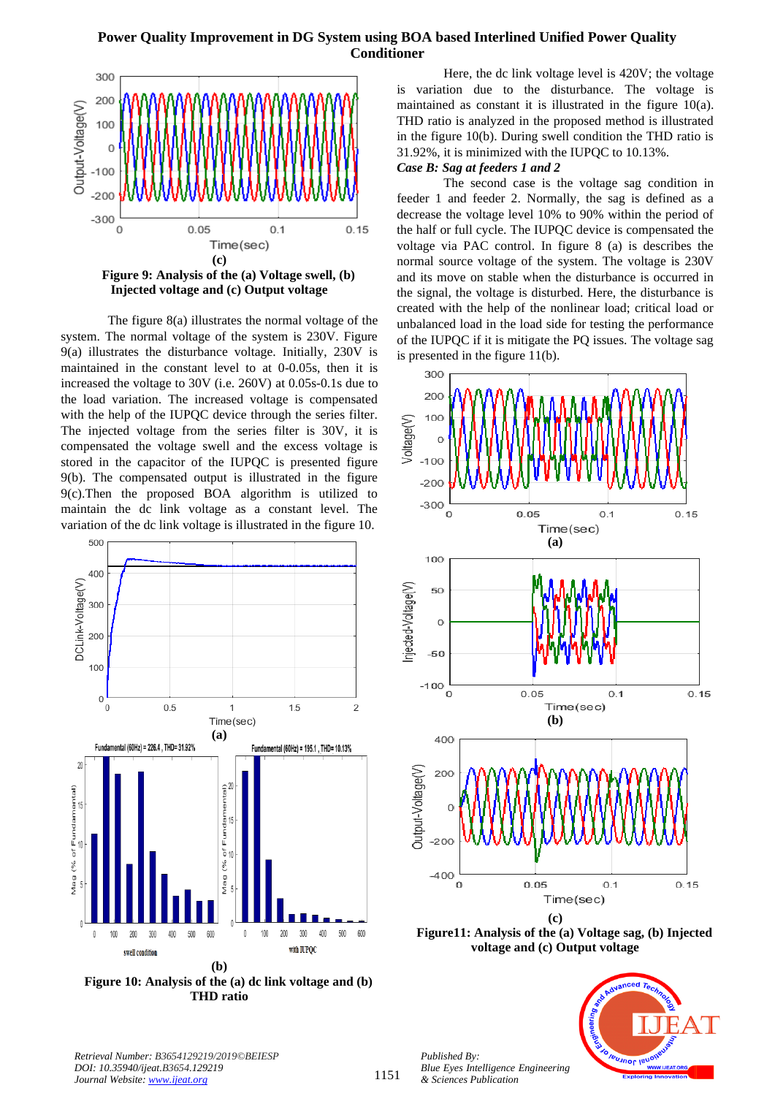

The figure 8(a) illustrates the normal voltage of the system. The normal voltage of the system is 230V. Figure 9(a) illustrates the disturbance voltage. Initially, 230V is maintained in the constant level to at 0-0.05s, then it is increased the voltage to 30V (i.e. 260V) at 0.05s-0.1s due to the load variation. The increased voltage is compensated with the help of the IUPQC device through the series filter. The injected voltage from the series filter is 30V, it is compensated the voltage swell and the excess voltage is stored in the capacitor of the IUPQC is presented figure 9(b). The compensated output is illustrated in the figure 9(c).Then the proposed BOA algorithm is utilized to maintain the dc link voltage as a constant level. The variation of the dc link voltage is illustrated in the figure 10.





Here, the dc link voltage level is 420V; the voltage is variation due to the disturbance. The voltage is maintained as constant it is illustrated in the figure 10(a). THD ratio is analyzed in the proposed method is illustrated in the figure 10(b). During swell condition the THD ratio is 31.92%, it is minimized with the IUPQC to 10.13%.

## *Case B: Sag at feeders 1 and 2*

The second case is the voltage sag condition in feeder 1 and feeder 2. Normally, the sag is defined as a decrease the voltage level 10% to 90% within the period of the half or full cycle. The IUPQC device is compensated the voltage via PAC control. In figure 8 (a) is describes the normal source voltage of the system. The voltage is 230V and its move on stable when the disturbance is occurred in the signal, the voltage is disturbed. Here, the disturbance is created with the help of the nonlinear load; critical load or unbalanced load in the load side for testing the performance of the IUPQC if it is mitigate the PQ issues. The voltage sag is presented in the figure 11(b).



**Figure11: Analysis of the (a) Voltage sag, (b) Injected voltage and (c) Output voltage**



*Retrieval Number: B3654129219/2019©BEIESP DOI: 10.35940/ijeat.B3654.129219 Journal Website[: www.ijeat.org](http://www.ijeat.org/)*

1151

*Published By: Blue Eyes Intelligence Engineering & Sciences Publication*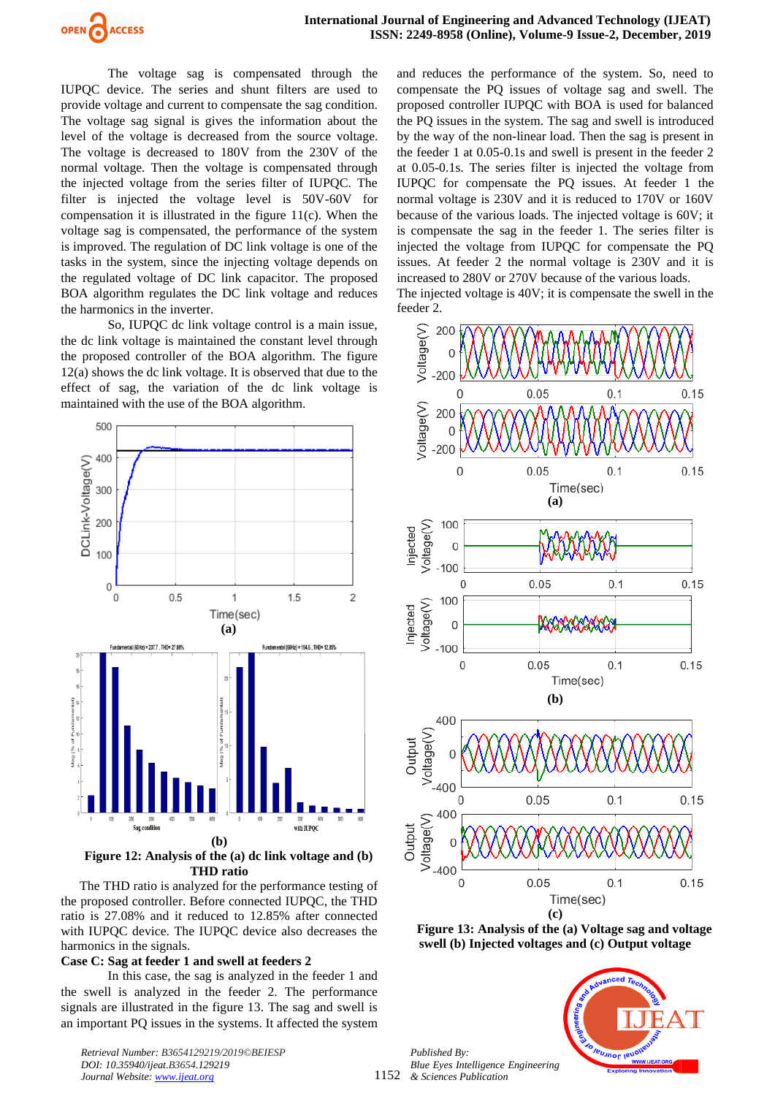

The voltage sag is compensated through the IUPQC device. The series and shunt filters are used to provide voltage and current to compensate the sag condition. The voltage sag signal is gives the information about the level of the voltage is decreased from the source voltage. The voltage is decreased to 180V from the 230V of the normal voltage. Then the voltage is compensated through the injected voltage from the series filter of IUPQC. The filter is injected the voltage level is 50V-60V for compensation it is illustrated in the figure  $11(c)$ . When the voltage sag is compensated, the performance of the system is improved. The regulation of DC link voltage is one of the tasks in the system, since the injecting voltage depends on the regulated voltage of DC link capacitor. The proposed BOA algorithm regulates the DC link voltage and reduces the harmonics in the inverter.

So, IUPQC dc link voltage control is a main issue, the dc link voltage is maintained the constant level through the proposed controller of the BOA algorithm. The figure 12(a) shows the dc link voltage. It is observed that due to the effect of sag, the variation of the dc link voltage is maintained with the use of the BOA algorithm.



**THD ratio**

The THD ratio is analyzed for the performance testing of the proposed controller. Before connected IUPQC, the THD ratio is 27.08% and it reduced to 12.85% after connected with IUPQC device. The IUPQC device also decreases the harmonics in the signals.

## **Case C: Sag at feeder 1 and swell at feeders 2**

In this case, the sag is analyzed in the feeder 1 and the swell is analyzed in the feeder 2. The performance signals are illustrated in the figure 13. The sag and swell is an important PQ issues in the systems. It affected the system

*Retrieval Number: B3654129219/2019©BEIESP DOI: 10.35940/ijeat.B3654.129219 Journal Website[: www.ijeat.org](http://www.ijeat.org/)*

and reduces the performance of the system. So, need to compensate the PQ issues of voltage sag and swell. The proposed controller IUPQC with BOA is used for balanced the PQ issues in the system. The sag and swell is introduced by the way of the non-linear load. Then the sag is present in the feeder 1 at 0.05-0.1s and swell is present in the feeder 2 at 0.05-0.1s. The series filter is injected the voltage from IUPQC for compensate the PQ issues. At feeder 1 the normal voltage is 230V and it is reduced to 170V or 160V because of the various loads. The injected voltage is 60V; it is compensate the sag in the feeder 1. The series filter is injected the voltage from IUPQC for compensate the PQ issues. At feeder 2 the normal voltage is 230V and it is increased to 280V or 270V because of the various loads. The injected voltage is 40V; it is compensate the swell in the feeder 2.



**Figure 13: Analysis of the (a) Voltage sag and voltage swell (b) Injected voltages and (c) Output voltage**



1152 *Published By: Blue Eyes Intelligence Engineering & Sciences Publication*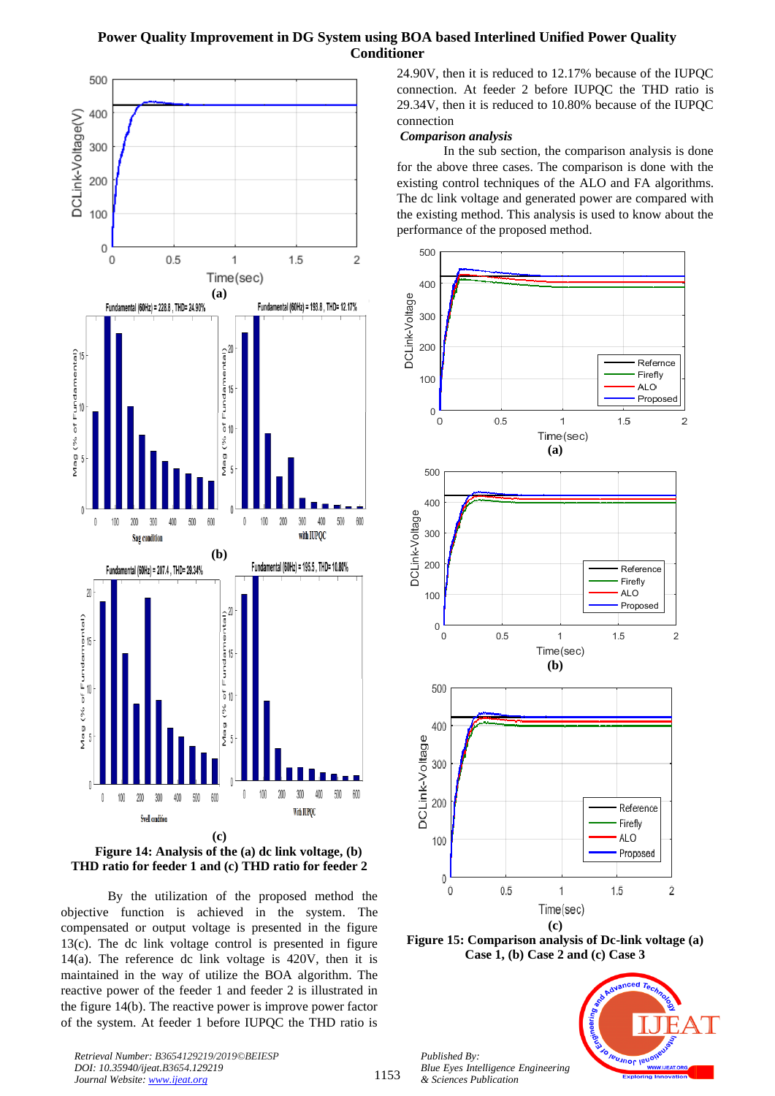



By the utilization of the proposed method the objective function is achieved in the system. The compensated or output voltage is presented in the figure 13(c). The dc link voltage control is presented in figure 14(a). The reference dc link voltage is 420V, then it is maintained in the way of utilize the BOA algorithm. The reactive power of the feeder 1 and feeder 2 is illustrated in the figure 14(b). The reactive power is improve power factor of the system. At feeder 1 before IUPQC the THD ratio is

24.90V, then it is reduced to 12.17% because of the IUPQC connection. At feeder 2 before IUPQC the THD ratio is 29.34V, then it is reduced to 10.80% because of the IUPQC connection

# *Comparison analysis*

In the sub section, the comparison analysis is done for the above three cases. The comparison is done with the existing control techniques of the ALO and FA algorithms. The dc link voltage and generated power are compared with the existing method. This analysis is used to know about the performance of the proposed method.



**Figure 15: Comparison analysis of Dc-link voltage (a) Case 1, (b) Case 2 and (c) Case 3**



*Retrieval Number: B3654129219/2019©BEIESP DOI: 10.35940/ijeat.B3654.129219 Journal Website[: www.ijeat.org](http://www.ijeat.org/)*

*Published By:*

*& Sciences Publication* 

*Blue Eyes Intelligence Engineering*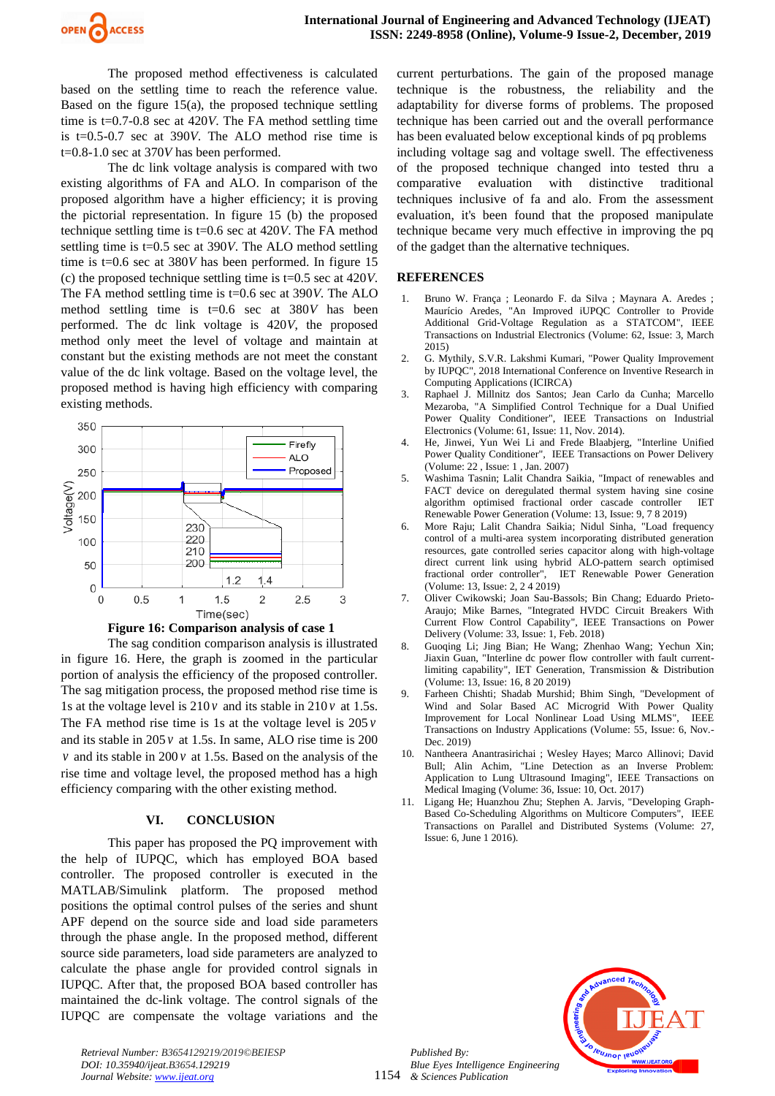

The proposed method effectiveness is calculated based on the settling time to reach the reference value. Based on the figure 15(a), the proposed technique settling time is t=0.7-0.8 sec at 420*V*. The FA method settling time is t=0.5-0.7 sec at 390*V*. The ALO method rise time is t=0.8-1.0 sec at 370*V* has been performed.

The dc link voltage analysis is compared with two existing algorithms of FA and ALO. In comparison of the proposed algorithm have a higher efficiency; it is proving the pictorial representation. In figure 15 (b) the proposed technique settling time is t=0.6 sec at 420*V*. The FA method settling time is t=0.5 sec at 390*V*. The ALO method settling time is t=0.6 sec at 380*V* has been performed. In figure 15 (c) the proposed technique settling time is t=0.5 sec at 420*V*. The FA method settling time is t=0.6 sec at 390*V*. The ALO method settling time is t=0.6 sec at 380*V* has been performed. The dc link voltage is 420*V*, the proposed method only meet the level of voltage and maintain at constant but the existing methods are not meet the constant value of the dc link voltage. Based on the voltage level, the proposed method is having high efficiency with comparing existing methods.





The sag condition comparison analysis is illustrated in figure 16. Here, the graph is zoomed in the particular portion of analysis the efficiency of the proposed controller. The sag mitigation process, the proposed method rise time is 1s at the voltage level is  $210v$  and its stable in  $210v$  at 1.5s. The FA method rise time is 1s at the voltage level is 205 *v* and its stable in  $205v$  at 1.5s. In same, ALO rise time is  $200$ *v* and its stable in 200  $\nu$  at 1.5s. Based on the analysis of the rise time and voltage level, the proposed method has a high efficiency comparing with the other existing method.

## **VI. CONCLUSION**

This paper has proposed the PQ improvement with the help of IUPQC, which has employed BOA based controller. The proposed controller is executed in the MATLAB/Simulink platform. The proposed method positions the optimal control pulses of the series and shunt APF depend on the source side and load side parameters through the phase angle. In the proposed method, different source side parameters, load side parameters are analyzed to calculate the phase angle for provided control signals in IUPQC. After that, the proposed BOA based controller has maintained the dc-link voltage. The control signals of the IUPQC are compensate the voltage variations and the

current perturbations. The gain of the proposed manage technique is the robustness, the reliability and the adaptability for diverse forms of problems. The proposed technique has been carried out and the overall performance has been evaluated below exceptional kinds of pq problems including voltage sag and voltage swell. The effectiveness of the proposed technique changed into tested thru a comparative evaluation with distinctive traditional techniques inclusive of fa and alo. From the assessment evaluation, it's been found that the proposed manipulate technique became very much effective in improving the pq of the gadget than the alternative techniques.

## **REFERENCES**

- 1. Bruno W. França ; Leonardo F. da Silva ; Maynara A. Aredes ; Maurício Aredes, "An Improved iUPQC Controller to Provide Additional Grid-Voltage Regulation as a STATCOM", IEEE Transactions on Industrial Electronics (Volume: 62, Issue: 3, March 2015)
- 2. G. Mythily, S.V.R. Lakshmi Kumari, "Power Quality Improvement by IUPQC", 2018 International Conference on Inventive Research in Computing Applications (ICIRCA)
- 3. Raphael J. Millnitz dos Santos; Jean Carlo da Cunha; Marcello Mezaroba, "A Simplified Control Technique for a Dual Unified Power Quality Conditioner", IEEE Transactions on Industrial Electronics (Volume: 61, Issue: 11, Nov. 2014).
- 4. He, Jinwei, Yun Wei Li and Frede Blaabjerg, "Interline Unified Power Quality Conditioner", IEEE Transactions on Power Delivery (Volume: 22 , Issue: 1 , Jan. 2007)
- 5. Washima Tasnin; Lalit Chandra Saikia, "Impact of renewables and FACT device on deregulated thermal system having sine cosine algorithm optimised fractional order cascade controller IET Renewable Power Generation (Volume: 13, Issue: 9, 7 8 2019)
- 6. More Raju; Lalit Chandra Saikia; Nidul Sinha, "Load frequency control of a multi-area system incorporating distributed generation resources, gate controlled series capacitor along with high-voltage direct current link using hybrid ALO-pattern search optimised fractional order controller", IET Renewable Power Generation (Volume: 13, Issue: 2, 2 4 2019)
- 7. Oliver Cwikowski; Joan Sau-Bassols; Bin Chang; Eduardo Prieto-Araujo; Mike Barnes, "Integrated HVDC Circuit Breakers With Current Flow Control Capability", IEEE Transactions on Power Delivery (Volume: 33, Issue: 1, Feb. 2018)
- 8. Guoqing Li; Jing Bian; He Wang; Zhenhao Wang; Yechun Xin; Jiaxin Guan, "Interline dc power flow controller with fault currentlimiting capability", IET Generation, Transmission & Distribution (Volume: 13, Issue: 16, 8 20 2019)
- 9. Farheen Chishti; Shadab Murshid; Bhim Singh, "Development of Wind and Solar Based AC Microgrid With Power Quality Improvement for Local Nonlinear Load Using MLMS", IEEE Transactions on Industry Applications (Volume: 55, Issue: 6, Nov.- Dec. 2019)
- 10. Nantheera Anantrasirichai ; Wesley Hayes; Marco Allinovi; David Bull; Alin Achim, "Line Detection as an Inverse Problem: Application to Lung Ultrasound Imaging", IEEE Transactions on Medical Imaging (Volume: 36, Issue: 10, Oct. 2017)
- 11. Ligang He; Huanzhou Zhu; Stephen A. Jarvis, "Developing Graph-Based Co-Scheduling Algorithms on Multicore Computers", IEEE Transactions on Parallel and Distributed Systems (Volume: 27, Issue: 6, June 1 2016).



*Retrieval Number: B3654129219/2019©BEIESP DOI: 10.35940/ijeat.B3654.129219 Journal Website[: www.ijeat.org](http://www.ijeat.org/)*

1154

*Published By: Blue Eyes Intelligence Engineering & Sciences Publication*